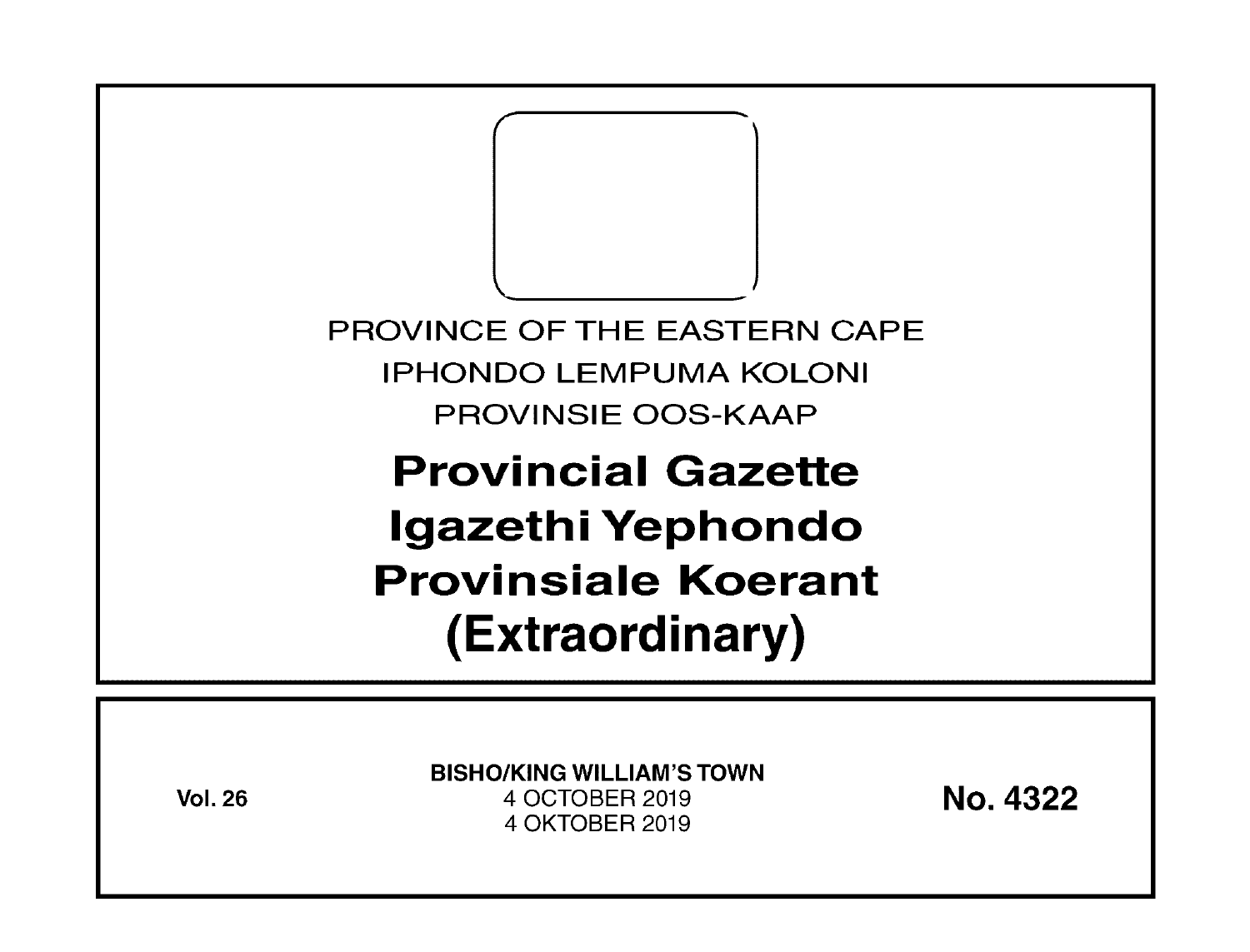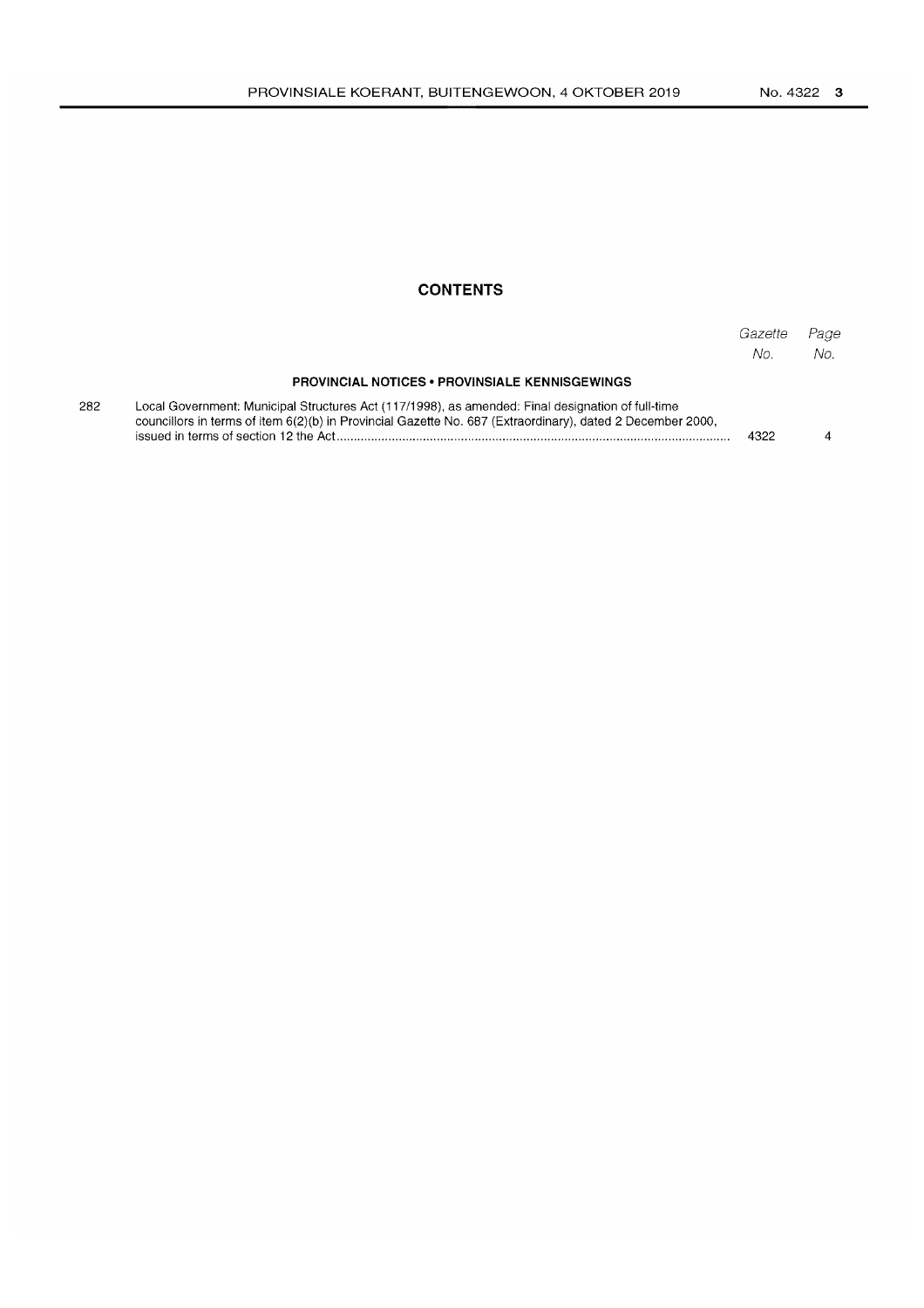### **CONTENTS**

|     |                                                                                                                                                                                                                 | Gazette<br>No. | Page<br>No. |
|-----|-----------------------------------------------------------------------------------------------------------------------------------------------------------------------------------------------------------------|----------------|-------------|
|     | <b>PROVINCIAL NOTICES • PROVINSIALE KENNISGEWINGS</b>                                                                                                                                                           |                |             |
| 282 | Local Government: Municipal Structures Act (117/1998), as amended: Final designation of full-time<br>councillors in terms of item 6(2)(b) in Provincial Gazette No. 687 (Extraordinary), dated 2 December 2000, | 4322           |             |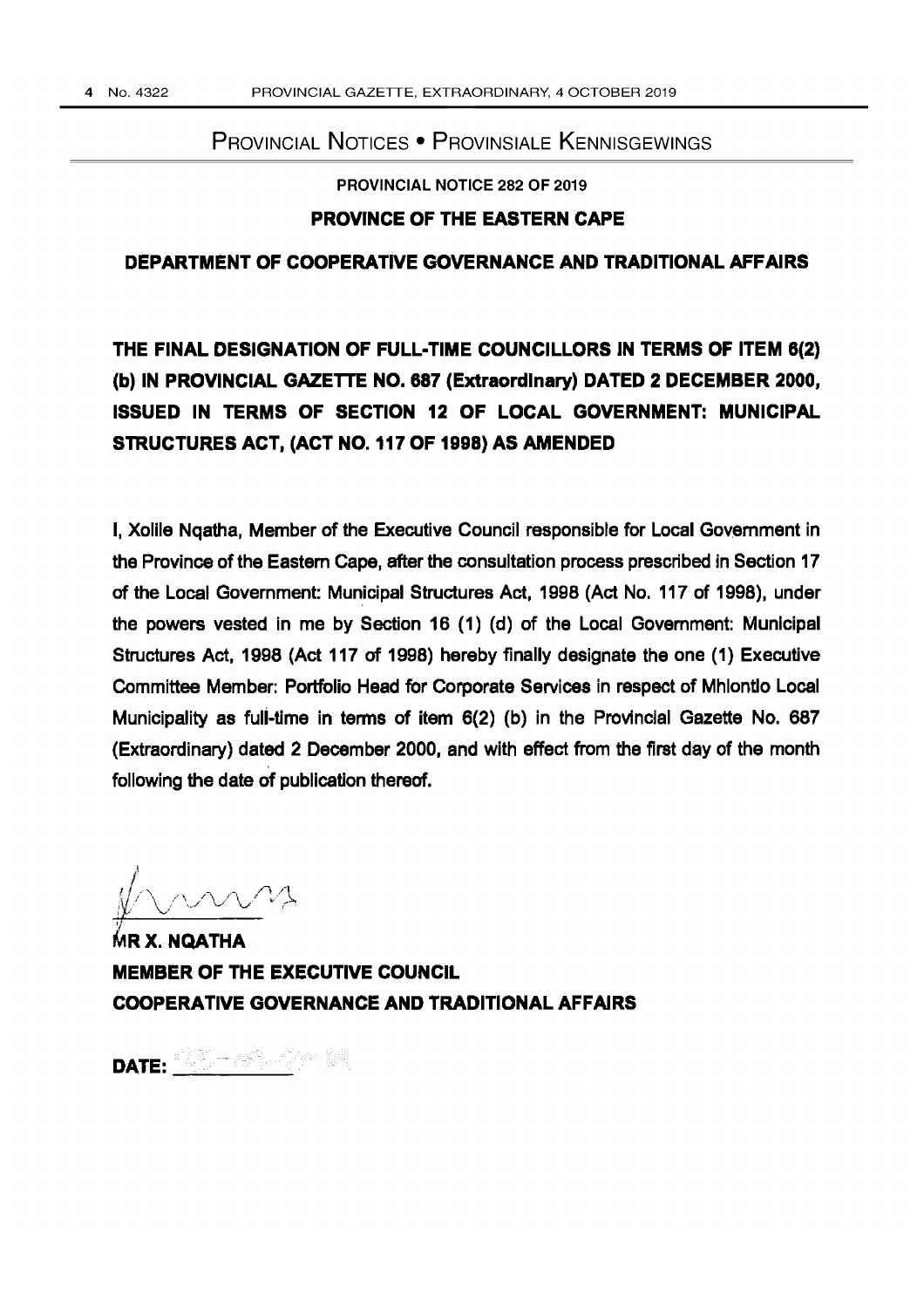## PROVINCIAL NOTICES • PROVINSIALE KENNISGEWINGS

PROVINCIAL NOTICE 282 OF 2019

### PROVINCE OF THE EASTERN CAPE

### DEPARTMENT OF COOPERATIVE GOVERNANCE AND TRADITIONAL AFFAIRS

# THE FINAL DESIGNATION OF FULL-TIME COUNCILLORS IN TERMS OF ITEM 8(2) (b) IN PROVINCIAL GAZETTE NO. 887 (Extraordinary) DATED 2 DECEMBER 2000, ISSUED IN TERMS OF SECTION 12 OF LOCAL GOVERNMENT: MUNICIPAL STRUCTURES ACT, (ACT NO. 117 OF 1998) AS AMENDED

I, Xolile Ngatha, Member of the Executive Council responsible for Local Government in the Province of the Eastern Cape, after the consultation process prescribed in Section 17 of the Local Government: Municipal Structures Act, 1998 (Act No. 117 of 1998), under the powers vested in me by Section 16 (1) (d) of the Local Government: Municipal Structures Act, 1998 (Act 117 of 1998) hereby finally designate the one (1) Executive Committee Member: Portfolio Head for Corporate Services in respect of Mhlontlo Local Municipality as fuli-time in terms of item 6(2) (b) in the Provincial Gazette No. 687 (Extraordinary) dated 2 December 2000, and with effect from the first day of the month following the date of publication thereof.

MR X. NOATHA MEMBER OF THE EXECUTIVE COUNCIL COOPERATIVE GOVERNANCE AND TRADITIONAL AFFAIRS

DATE:  $\frac{\partial \mathbb{Z}}{\partial \mathbb{Z}}$  ,  $\mathbb{Z}$  ,  $\mathbb{Z}$  ,  $\mathbb{Z}$  ,  $\mathbb{Z}$